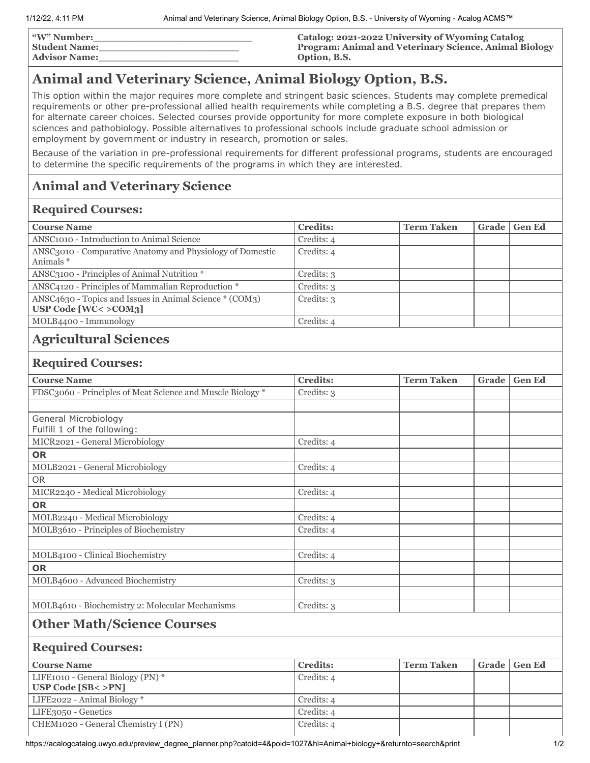| <b><i>"W"</i> Number:</b> | Catalog: 2021-2022 University of Wyoming Catalog       |
|---------------------------|--------------------------------------------------------|
| <b>Student Name:</b>      | Program: Animal and Veterinary Science, Animal Biology |
| <b>Advisor Name:</b>      | Option, B.S.                                           |

# **Animal and Veterinary Science, Animal Biology Option, B.S.**

This option within the major requires more complete and stringent basic sciences. Students may complete premedical requirements or other pre-professional allied health requirements while completing a B.S. degree that prepares them for alternate career choices. Selected courses provide opportunity for more complete exposure in both biological sciences and pathobiology. Possible alternatives to professional schools include graduate school admission or employment by government or industry in research, promotion or sales.

Because of the variation in pre-professional requirements for different professional programs, students are encouraged to determine the specific requirements of the programs in which they are interested.

## **Animal and Veterinary Science**

#### **Required Courses:**

| <b>Course Name</b>                                                                 | <b>Credits:</b> | <b>Term Taken</b> | Grade   Gen Ed |
|------------------------------------------------------------------------------------|-----------------|-------------------|----------------|
| ANSC <sub>1010</sub> - Introduction to Animal Science                              | Credits: 4      |                   |                |
| ANSC3010 - Comparative Anatomy and Physiology of Domestic<br>Animals *             | Credits: 4      |                   |                |
| ANSC3100 - Principles of Animal Nutrition *                                        | Credits: 3      |                   |                |
| ANSC4120 - Principles of Mammalian Reproduction *                                  | Credits: 3      |                   |                |
| ANSC4630 - Topics and Issues in Animal Science * (COM3)<br>USP Code $[WC < >COM3]$ | Credits: 3      |                   |                |
| MOLB4400 - Immunology                                                              | Credits: 4      |                   |                |

## **Agricultural Sciences**

#### **Required Courses:**

| <b>Course Name</b>                                         | <b>Credits:</b> | <b>Term Taken</b> | Grade | <b>Gen Ed</b> |
|------------------------------------------------------------|-----------------|-------------------|-------|---------------|
| FDSC3060 - Principles of Meat Science and Muscle Biology * | Credits: 3      |                   |       |               |
|                                                            |                 |                   |       |               |
| General Microbiology                                       |                 |                   |       |               |
| Fulfill 1 of the following:                                |                 |                   |       |               |
| MICR2021 - General Microbiology                            | Credits: 4      |                   |       |               |
| <b>OR</b>                                                  |                 |                   |       |               |
| MOLB2021 - General Microbiology                            | Credits: 4      |                   |       |               |
| <b>OR</b>                                                  |                 |                   |       |               |
| MICR2240 - Medical Microbiology                            | Credits: 4      |                   |       |               |
| <b>OR</b>                                                  |                 |                   |       |               |
| MOLB2240 - Medical Microbiology                            | Credits: 4      |                   |       |               |
| MOLB3610 - Principles of Biochemistry                      | Credits: 4      |                   |       |               |
|                                                            |                 |                   |       |               |
| MOLB4100 - Clinical Biochemistry                           | Credits: 4      |                   |       |               |
| <b>OR</b>                                                  |                 |                   |       |               |
| MOLB4600 - Advanced Biochemistry                           | Credits: 3      |                   |       |               |
|                                                            |                 |                   |       |               |
| MOLB4610 - Biochemistry 2: Molecular Mechanisms            | Credits: 3      |                   |       |               |
| <b>Other Math/Science Courses</b>                          |                 |                   |       |               |
| <b>Required Courses:</b>                                   |                 |                   |       |               |
|                                                            |                 |                   |       |               |
| <b>Course Name</b>                                         | <b>Credits:</b> | <b>Term Taken</b> | Grade | <b>Gen Ed</b> |
| LIFE1010 - General Biology (PN) *                          | Credits: 4      |                   |       |               |
| <b>USP Code [SB&lt; &gt;PN]</b>                            |                 |                   |       |               |
| LIFE2022 - Animal Biology*                                 | Credits: 4      |                   |       |               |

LIFE3050 - Genetics Credits: 4 CHEM1020 - General Chemistry I (PN) Credits: 4